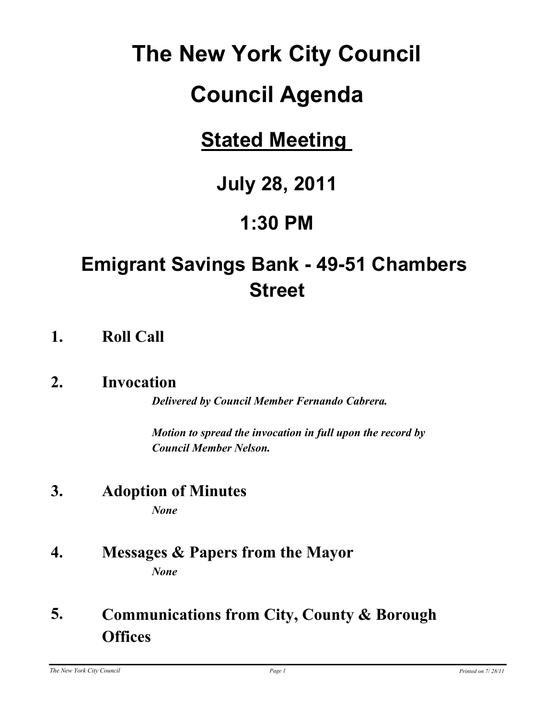# **The New York City Council**

# **Council Agenda**

# **Stated Meeting**

# **July 28, 2011**

# **1:30 PM**

# **Emigrant Savings Bank - 49-51 Chambers Street**

**1. Roll Call**

## **2. Invocation**

*Delivered by Council Member Fernando Cabrera.*

*Motion to spread the invocation in full upon the record by Council Member Nelson.*

**3. Adoption of Minutes**

*None*

**4. Messages & Papers from the Mayor** *None*

#### **Communications from City, County & Borough Offices 5.**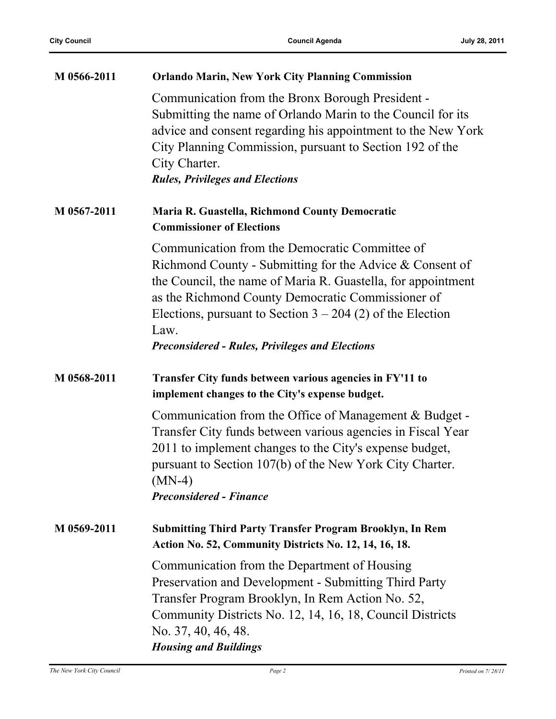| M 0566-2011 | <b>Orlando Marin, New York City Planning Commission</b>                                                                                                                                                                                                                                                                                                           |
|-------------|-------------------------------------------------------------------------------------------------------------------------------------------------------------------------------------------------------------------------------------------------------------------------------------------------------------------------------------------------------------------|
|             | Communication from the Bronx Borough President -<br>Submitting the name of Orlando Marin to the Council for its<br>advice and consent regarding his appointment to the New York<br>City Planning Commission, pursuant to Section 192 of the<br>City Charter.<br><b>Rules, Privileges and Elections</b>                                                            |
| M 0567-2011 | Maria R. Guastella, Richmond County Democratic<br><b>Commissioner of Elections</b>                                                                                                                                                                                                                                                                                |
|             | Communication from the Democratic Committee of<br>Richmond County - Submitting for the Advice & Consent of<br>the Council, the name of Maria R. Guastella, for appointment<br>as the Richmond County Democratic Commissioner of<br>Elections, pursuant to Section $3 - 204$ (2) of the Election<br>Law.<br><b>Preconsidered - Rules, Privileges and Elections</b> |
| M 0568-2011 | Transfer City funds between various agencies in FY'11 to<br>implement changes to the City's expense budget.                                                                                                                                                                                                                                                       |
|             | Communication from the Office of Management & Budget -<br>Transfer City funds between various agencies in Fiscal Year<br>2011 to implement changes to the City's expense budget,<br>pursuant to Section 107(b) of the New York City Charter.<br>$(MN-4)$<br><b>Preconsidered - Finance</b>                                                                        |
| M 0569-2011 | <b>Submitting Third Party Transfer Program Brooklyn, In Rem</b><br>Action No. 52, Community Districts No. 12, 14, 16, 18.                                                                                                                                                                                                                                         |
|             | Communication from the Department of Housing<br>Preservation and Development - Submitting Third Party<br>Transfer Program Brooklyn, In Rem Action No. 52,<br>Community Districts No. 12, 14, 16, 18, Council Districts<br>No. 37, 40, 46, 48.<br><b>Housing and Buildings</b>                                                                                     |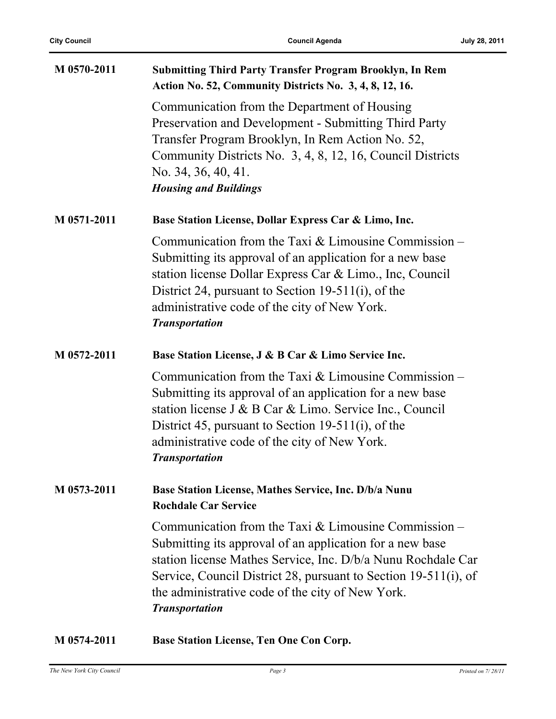| M 0570-2011 | <b>Submitting Third Party Transfer Program Brooklyn, In Rem</b><br>Action No. 52, Community Districts No. 3, 4, 8, 12, 16.                                                                                                                                                                                                         |
|-------------|------------------------------------------------------------------------------------------------------------------------------------------------------------------------------------------------------------------------------------------------------------------------------------------------------------------------------------|
|             | Communication from the Department of Housing<br>Preservation and Development - Submitting Third Party<br>Transfer Program Brooklyn, In Rem Action No. 52,<br>Community Districts No. 3, 4, 8, 12, 16, Council Districts<br>No. 34, 36, 40, 41.<br><b>Housing and Buildings</b>                                                     |
| M 0571-2011 | Base Station License, Dollar Express Car & Limo, Inc.                                                                                                                                                                                                                                                                              |
|             | Communication from the Taxi $&$ Limousine Commission –<br>Submitting its approval of an application for a new base<br>station license Dollar Express Car & Limo., Inc, Council<br>District 24, pursuant to Section 19-511(i), of the<br>administrative code of the city of New York.<br><b>Transportation</b>                      |
| M 0572-2011 | Base Station License, J & B Car & Limo Service Inc.                                                                                                                                                                                                                                                                                |
|             | Communication from the Taxi $&$ Limousine Commission –<br>Submitting its approval of an application for a new base<br>station license J & B Car & Limo. Service Inc., Council<br>District 45, pursuant to Section 19-511(i), of the<br>administrative code of the city of New York.<br><b>Transportation</b>                       |
| M 0573-2011 | <b>Base Station License, Mathes Service, Inc. D/b/a Nunu</b><br><b>Rochdale Car Service</b>                                                                                                                                                                                                                                        |
|             | Communication from the Taxi $&$ Limousine Commission –<br>Submitting its approval of an application for a new base<br>station license Mathes Service, Inc. D/b/a Nunu Rochdale Car<br>Service, Council District 28, pursuant to Section 19-511(i), of<br>the administrative code of the city of New York.<br><b>Transportation</b> |
| M 0574-2011 | <b>Base Station License, Ten One Con Corp.</b>                                                                                                                                                                                                                                                                                     |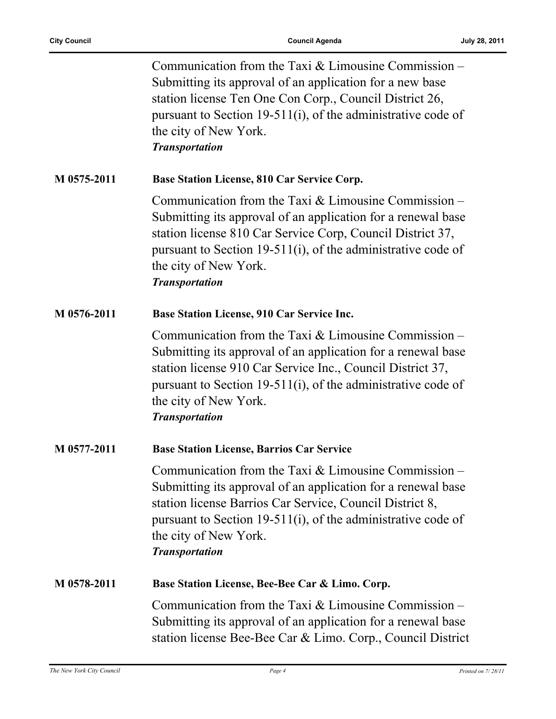|             | Communication from the Taxi $&$ Limousine Commission –<br>Submitting its approval of an application for a new base<br>station license Ten One Con Corp., Council District 26,<br>pursuant to Section 19-511(i), of the administrative code of<br>the city of New York.<br><b>Transportation</b>        |
|-------------|--------------------------------------------------------------------------------------------------------------------------------------------------------------------------------------------------------------------------------------------------------------------------------------------------------|
| M 0575-2011 | Base Station License, 810 Car Service Corp.                                                                                                                                                                                                                                                            |
|             | Communication from the Taxi $&$ Limousine Commission –<br>Submitting its approval of an application for a renewal base<br>station license 810 Car Service Corp, Council District 37,<br>pursuant to Section 19-511(i), of the administrative code of<br>the city of New York.<br><b>Transportation</b> |
| M 0576-2011 | <b>Base Station License, 910 Car Service Inc.</b>                                                                                                                                                                                                                                                      |
|             | Communication from the Taxi $&$ Limousine Commission –<br>Submitting its approval of an application for a renewal base<br>station license 910 Car Service Inc., Council District 37,<br>pursuant to Section 19-511(i), of the administrative code of<br>the city of New York.<br><b>Transportation</b> |
| M 0577-2011 | <b>Base Station License, Barrios Car Service</b>                                                                                                                                                                                                                                                       |
|             | Communication from the Taxi $&$ Limousine Commission –<br>Submitting its approval of an application for a renewal base<br>station license Barrios Car Service, Council District 8,<br>pursuant to Section 19-511(i), of the administrative code of<br>the city of New York.<br><b>Transportation</b>   |
| M 0578-2011 | Base Station License, Bee-Bee Car & Limo. Corp.                                                                                                                                                                                                                                                        |
|             | Communication from the Taxi $&$ Limousine Commission –<br>Submitting its approval of an application for a renewal base<br>station license Bee-Bee Car & Limo. Corp., Council District                                                                                                                  |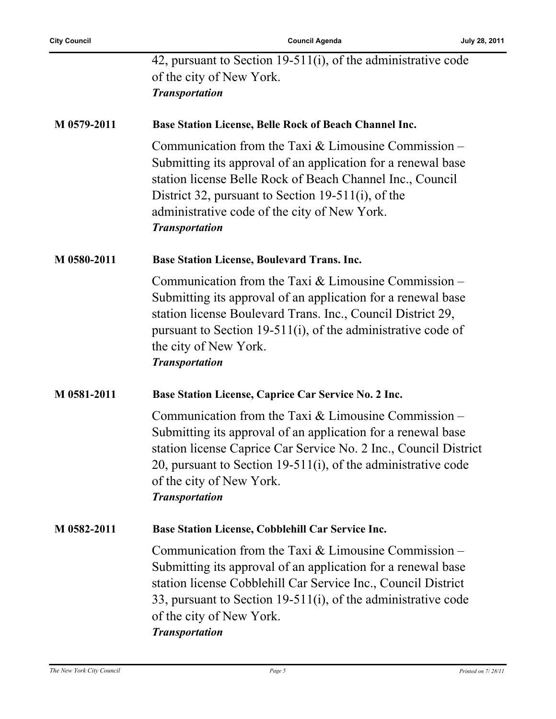|             | 42, pursuant to Section 19-511(i), of the administrative code<br>of the city of New York.<br><b>Transportation</b>                                                                                                                                                                                                  |
|-------------|---------------------------------------------------------------------------------------------------------------------------------------------------------------------------------------------------------------------------------------------------------------------------------------------------------------------|
| M 0579-2011 | Base Station License, Belle Rock of Beach Channel Inc.                                                                                                                                                                                                                                                              |
|             | Communication from the Taxi $&$ Limousine Commission –<br>Submitting its approval of an application for a renewal base<br>station license Belle Rock of Beach Channel Inc., Council<br>District 32, pursuant to Section 19-511(i), of the<br>administrative code of the city of New York.<br><b>Transportation</b>  |
| M 0580-2011 | <b>Base Station License, Boulevard Trans. Inc.</b>                                                                                                                                                                                                                                                                  |
|             | Communication from the Taxi $&$ Limousine Commission –<br>Submitting its approval of an application for a renewal base<br>station license Boulevard Trans. Inc., Council District 29,<br>pursuant to Section 19-511(i), of the administrative code of<br>the city of New York.<br><b>Transportation</b>             |
| M 0581-2011 | Base Station License, Caprice Car Service No. 2 Inc.                                                                                                                                                                                                                                                                |
|             | Communication from the Taxi $&$ Limousine Commission –<br>Submitting its approval of an application for a renewal base<br>station license Caprice Car Service No. 2 Inc., Council District<br>20, pursuant to Section $19-511(i)$ , of the administrative code<br>of the city of New York.<br><b>Transportation</b> |
| M 0582-2011 | Base Station License, Cobblehill Car Service Inc.                                                                                                                                                                                                                                                                   |
|             | Communication from the Taxi $&$ Limousine Commission –<br>Submitting its approval of an application for a renewal base<br>station license Cobblehill Car Service Inc., Council District<br>33, pursuant to Section 19-511(i), of the administrative code<br>of the city of New York.<br><b>Transportation</b>       |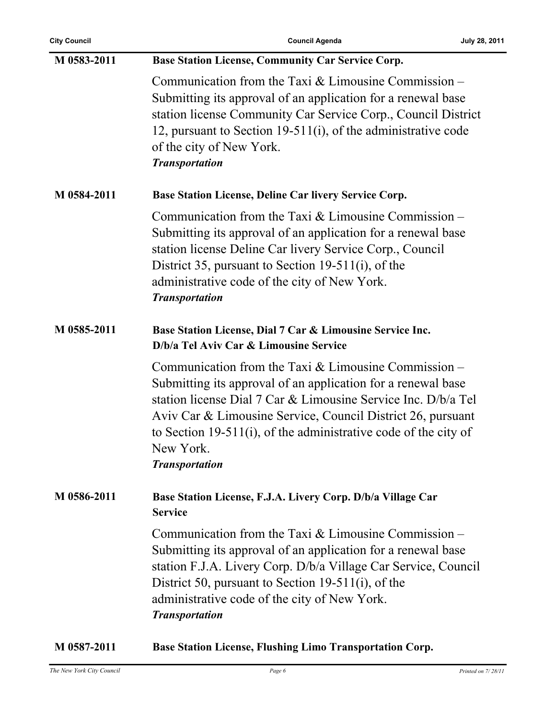| <b>City Council</b> | <b>Council Agenda</b>                                                                                                                                                                                                                                                                                                                                           | July 28, 2011 |
|---------------------|-----------------------------------------------------------------------------------------------------------------------------------------------------------------------------------------------------------------------------------------------------------------------------------------------------------------------------------------------------------------|---------------|
| M 0583-2011         | <b>Base Station License, Community Car Service Corp.</b>                                                                                                                                                                                                                                                                                                        |               |
|                     | Communication from the Taxi $&$ Limousine Commission –<br>Submitting its approval of an application for a renewal base<br>station license Community Car Service Corp., Council District<br>12, pursuant to Section 19-511(i), of the administrative code<br>of the city of New York.<br><b>Transportation</b>                                                   |               |
| M 0584-2011         | Base Station License, Deline Car livery Service Corp.                                                                                                                                                                                                                                                                                                           |               |
|                     | Communication from the Taxi $&$ Limousine Commission –<br>Submitting its approval of an application for a renewal base<br>station license Deline Car livery Service Corp., Council<br>District 35, pursuant to Section 19-511(i), of the<br>administrative code of the city of New York.<br><b>Transportation</b>                                               |               |
| M 0585-2011         | Base Station License, Dial 7 Car & Limousine Service Inc.<br>D/b/a Tel Aviv Car & Limousine Service                                                                                                                                                                                                                                                             |               |
|                     | Communication from the Taxi $&$ Limousine Commission –<br>Submitting its approval of an application for a renewal base<br>station license Dial 7 Car & Limousine Service Inc. D/b/a Tel<br>Aviv Car & Limousine Service, Council District 26, pursuant<br>to Section 19-511(i), of the administrative code of the city of<br>New York.<br><b>Transportation</b> |               |
| M 0586-2011         | Base Station License, F.J.A. Livery Corp. D/b/a Village Car<br><b>Service</b>                                                                                                                                                                                                                                                                                   |               |
|                     | Communication from the Taxi $&$ Limousine Commission –<br>Submitting its approval of an application for a renewal base<br>station F.J.A. Livery Corp. D/b/a Village Car Service, Council<br>District 50, pursuant to Section 19-511(i), of the<br>administrative code of the city of New York.<br><b>Transportation</b>                                         |               |
| M 0587-2011         | <b>Base Station License, Flushing Limo Transportation Corp.</b>                                                                                                                                                                                                                                                                                                 |               |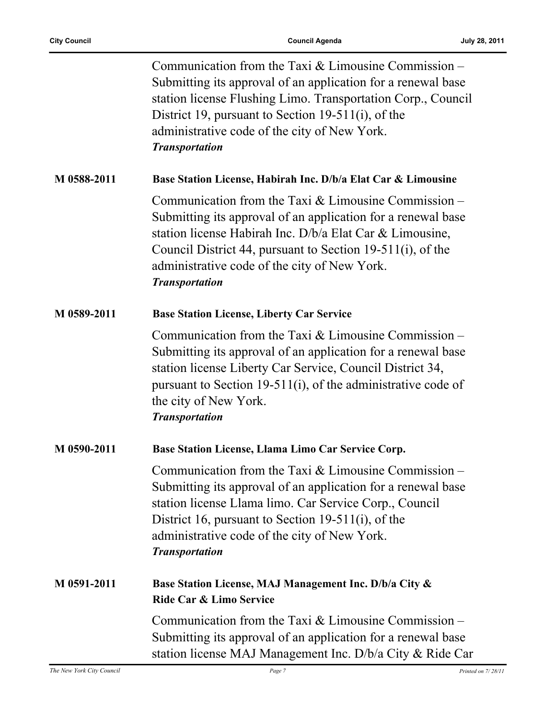|             | Communication from the Taxi $&$ Limousine Commission –<br>Submitting its approval of an application for a renewal base<br>station license Flushing Limo. Transportation Corp., Council<br>District 19, pursuant to Section 19-511(i), of the<br>administrative code of the city of New York.<br><b>Transportation</b>     |
|-------------|---------------------------------------------------------------------------------------------------------------------------------------------------------------------------------------------------------------------------------------------------------------------------------------------------------------------------|
| M 0588-2011 | Base Station License, Habirah Inc. D/b/a Elat Car & Limousine                                                                                                                                                                                                                                                             |
|             | Communication from the Taxi $&$ Limousine Commission –<br>Submitting its approval of an application for a renewal base<br>station license Habirah Inc. D/b/a Elat Car & Limousine,<br>Council District 44, pursuant to Section 19-511(i), of the<br>administrative code of the city of New York.<br><b>Transportation</b> |
| M 0589-2011 | <b>Base Station License, Liberty Car Service</b>                                                                                                                                                                                                                                                                          |
|             | Communication from the Taxi $&$ Limousine Commission –<br>Submitting its approval of an application for a renewal base<br>station license Liberty Car Service, Council District 34,<br>pursuant to Section 19-511(i), of the administrative code of<br>the city of New York.<br><b>Transportation</b>                     |
| M 0590-2011 | Base Station License, Llama Limo Car Service Corp.                                                                                                                                                                                                                                                                        |
|             | Communication from the Taxi $&$ Limousine Commission –<br>Submitting its approval of an application for a renewal base<br>station license Llama limo. Car Service Corp., Council<br>District 16, pursuant to Section 19-511(i), of the<br>administrative code of the city of New York.<br><b>Transportation</b>           |
| M 0591-2011 | Base Station License, MAJ Management Inc. D/b/a City &<br>Ride Car & Limo Service                                                                                                                                                                                                                                         |
|             | Communication from the Taxi $&$ Limousine Commission –<br>Submitting its approval of an application for a renewal base<br>station license MAJ Management Inc. D/b/a City & Ride Car                                                                                                                                       |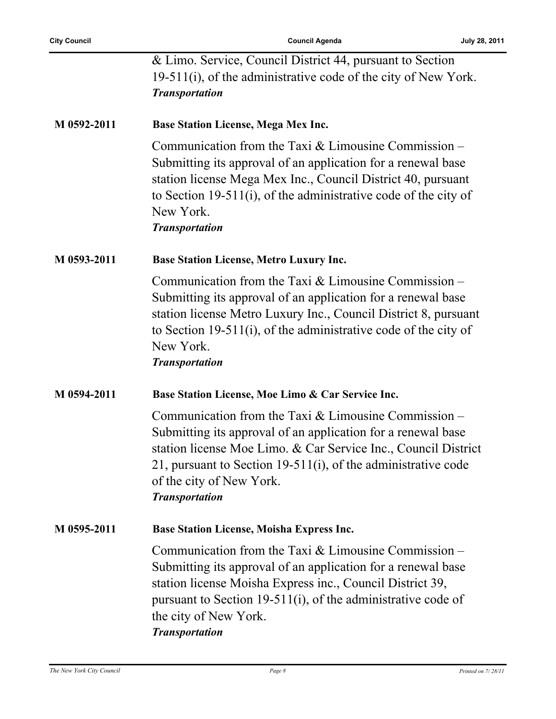|             | & Limo. Service, Council District 44, pursuant to Section<br>19-511(i), of the administrative code of the city of New York.<br><b>Transportation</b>                                                                                                                                                           |
|-------------|----------------------------------------------------------------------------------------------------------------------------------------------------------------------------------------------------------------------------------------------------------------------------------------------------------------|
| M 0592-2011 | <b>Base Station License, Mega Mex Inc.</b>                                                                                                                                                                                                                                                                     |
|             | Communication from the Taxi $&$ Limousine Commission –<br>Submitting its approval of an application for a renewal base<br>station license Mega Mex Inc., Council District 40, pursuant<br>to Section 19-511(i), of the administrative code of the city of<br>New York.<br><b>Transportation</b>                |
| M 0593-2011 | <b>Base Station License, Metro Luxury Inc.</b>                                                                                                                                                                                                                                                                 |
|             | Communication from the Taxi $&$ Limousine Commission –<br>Submitting its approval of an application for a renewal base<br>station license Metro Luxury Inc., Council District 8, pursuant<br>to Section 19-511(i), of the administrative code of the city of<br>New York.<br><b>Transportation</b>             |
| M 0594-2011 | Base Station License, Moe Limo & Car Service Inc.                                                                                                                                                                                                                                                              |
|             | Communication from the Taxi $&$ Limousine Commission –<br>Submitting its approval of an application for a renewal base<br>station license Moe Limo. & Car Service Inc., Council District<br>21, pursuant to Section 19-511(i), of the administrative code<br>of the city of New York.<br><b>Transportation</b> |
| M 0595-2011 | <b>Base Station License, Moisha Express Inc.</b>                                                                                                                                                                                                                                                               |
|             | Communication from the Taxi $&$ Limousine Commission –<br>Submitting its approval of an application for a renewal base<br>station license Moisha Express inc., Council District 39,<br>pursuant to Section 19-511(i), of the administrative code of<br>the city of New York.<br><b>Transportation</b>          |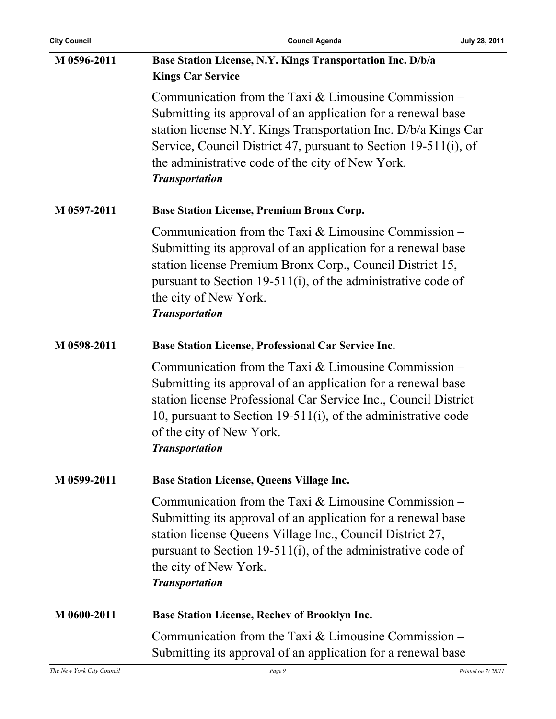| <b>City Council</b> | July 28, 2011<br><b>Council Agenda</b>                                                                                                                                                                                                                                                                                                    |  |
|---------------------|-------------------------------------------------------------------------------------------------------------------------------------------------------------------------------------------------------------------------------------------------------------------------------------------------------------------------------------------|--|
| M 0596-2011         | Base Station License, N.Y. Kings Transportation Inc. D/b/a<br><b>Kings Car Service</b>                                                                                                                                                                                                                                                    |  |
|                     | Communication from the Taxi $\&$ Limousine Commission –<br>Submitting its approval of an application for a renewal base<br>station license N.Y. Kings Transportation Inc. D/b/a Kings Car<br>Service, Council District 47, pursuant to Section 19-511(i), of<br>the administrative code of the city of New York.<br><b>Transportation</b> |  |
| M 0597-2011         | <b>Base Station License, Premium Bronx Corp.</b>                                                                                                                                                                                                                                                                                          |  |
|                     | Communication from the Taxi $&$ Limousine Commission –<br>Submitting its approval of an application for a renewal base<br>station license Premium Bronx Corp., Council District 15,<br>pursuant to Section 19-511(i), of the administrative code of<br>the city of New York.<br><b>Transportation</b>                                     |  |
| M 0598-2011         | <b>Base Station License, Professional Car Service Inc.</b>                                                                                                                                                                                                                                                                                |  |
|                     | Communication from the Taxi $&$ Limousine Commission –<br>Submitting its approval of an application for a renewal base<br>station license Professional Car Service Inc., Council District<br>10, pursuant to Section 19-511(i), of the administrative code<br>of the city of New York.<br><b>Transportation</b>                           |  |
| M 0599-2011         | <b>Base Station License, Queens Village Inc.</b>                                                                                                                                                                                                                                                                                          |  |
|                     | Communication from the Taxi $&$ Limousine Commission –<br>Submitting its approval of an application for a renewal base<br>station license Queens Village Inc., Council District 27,<br>pursuant to Section 19-511(i), of the administrative code of<br>the city of New York.<br><b>Transportation</b>                                     |  |
| M 0600-2011         | <b>Base Station License, Rechev of Brooklyn Inc.</b>                                                                                                                                                                                                                                                                                      |  |
|                     | Communication from the Taxi $&$ Limousine Commission –<br>Submitting its approval of an application for a renewal base                                                                                                                                                                                                                    |  |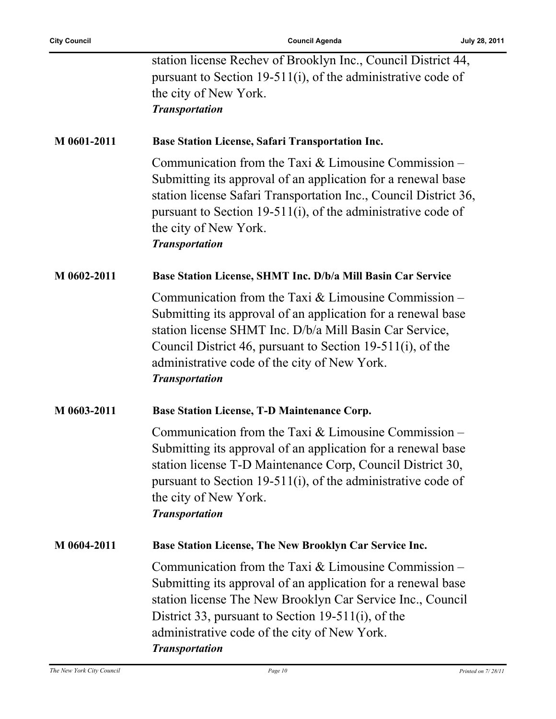|             | station license Rechev of Brooklyn Inc., Council District 44,<br>pursuant to Section 19-511(i), of the administrative code of<br>the city of New York.<br><b>Transportation</b>                                                                                                                                          |
|-------------|--------------------------------------------------------------------------------------------------------------------------------------------------------------------------------------------------------------------------------------------------------------------------------------------------------------------------|
| M 0601-2011 | <b>Base Station License, Safari Transportation Inc.</b>                                                                                                                                                                                                                                                                  |
|             | Communication from the Taxi $&$ Limousine Commission –<br>Submitting its approval of an application for a renewal base<br>station license Safari Transportation Inc., Council District 36,<br>pursuant to Section 19-511(i), of the administrative code of<br>the city of New York.<br><b>Transportation</b>             |
| M 0602-2011 | Base Station License, SHMT Inc. D/b/a Mill Basin Car Service                                                                                                                                                                                                                                                             |
|             | Communication from the Taxi $&$ Limousine Commission –<br>Submitting its approval of an application for a renewal base<br>station license SHMT Inc. D/b/a Mill Basin Car Service,<br>Council District 46, pursuant to Section 19-511(i), of the<br>administrative code of the city of New York.<br><b>Transportation</b> |
| M 0603-2011 | <b>Base Station License, T-D Maintenance Corp.</b>                                                                                                                                                                                                                                                                       |
|             | Communication from the Taxi $&$ Limousine Commission –<br>Submitting its approval of an application for a renewal base<br>station license T-D Maintenance Corp, Council District 30,<br>pursuant to Section 19-511(i), of the administrative code of<br>the city of New York.<br><b>Transportation</b>                   |
| M 0604-2011 | Base Station License, The New Brooklyn Car Service Inc.                                                                                                                                                                                                                                                                  |
|             | Communication from the Taxi & Limousine Commission -<br>Submitting its approval of an application for a renewal base<br>station license The New Brooklyn Car Service Inc., Council<br>District 33, pursuant to Section 19-511(i), of the<br>administrative code of the city of New York.<br><b>Transportation</b>        |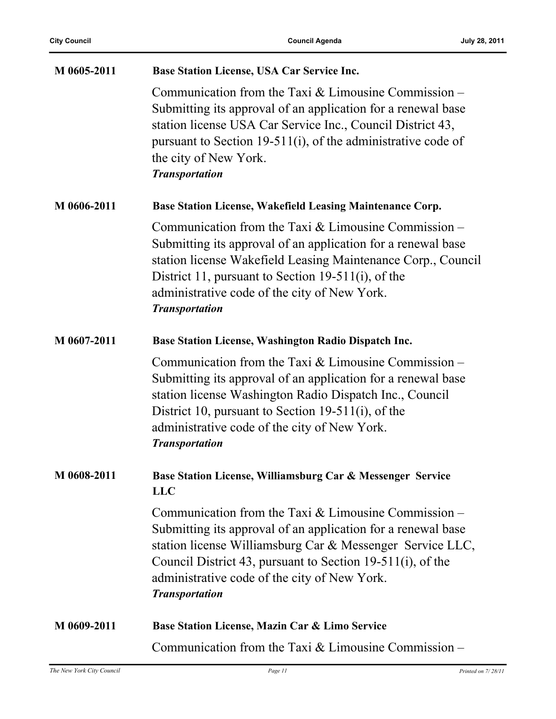| M 0605-2011 | Base Station License, USA Car Service Inc.                                                                                                                                                                                                                                                                                 |
|-------------|----------------------------------------------------------------------------------------------------------------------------------------------------------------------------------------------------------------------------------------------------------------------------------------------------------------------------|
|             | Communication from the Taxi $&$ Limousine Commission –<br>Submitting its approval of an application for a renewal base<br>station license USA Car Service Inc., Council District 43,<br>pursuant to Section 19-511(i), of the administrative code of<br>the city of New York.<br><b>Transportation</b>                     |
| M 0606-2011 | <b>Base Station License, Wakefield Leasing Maintenance Corp.</b>                                                                                                                                                                                                                                                           |
|             | Communication from the Taxi $&$ Limousine Commission –<br>Submitting its approval of an application for a renewal base<br>station license Wakefield Leasing Maintenance Corp., Council<br>District 11, pursuant to Section 19-511(i), of the<br>administrative code of the city of New York.<br><b>Transportation</b>      |
| M 0607-2011 | Base Station License, Washington Radio Dispatch Inc.                                                                                                                                                                                                                                                                       |
|             | Communication from the Taxi $&$ Limousine Commission –<br>Submitting its approval of an application for a renewal base<br>station license Washington Radio Dispatch Inc., Council<br>District 10, pursuant to Section 19-511(i), of the<br>administrative code of the city of New York.<br><b>Transportation</b>           |
| M 0608-2011 | Base Station License, Williamsburg Car & Messenger Service<br><b>LLC</b>                                                                                                                                                                                                                                                   |
|             | Communication from the Taxi $&$ Limousine Commission –<br>Submitting its approval of an application for a renewal base<br>station license Williamsburg Car & Messenger Service LLC,<br>Council District 43, pursuant to Section 19-511(i), of the<br>administrative code of the city of New York.<br><b>Transportation</b> |
| M 0609-2011 | Base Station License, Mazin Car & Limo Service                                                                                                                                                                                                                                                                             |
|             | Communication from the Taxi $&$ Limousine Commission –                                                                                                                                                                                                                                                                     |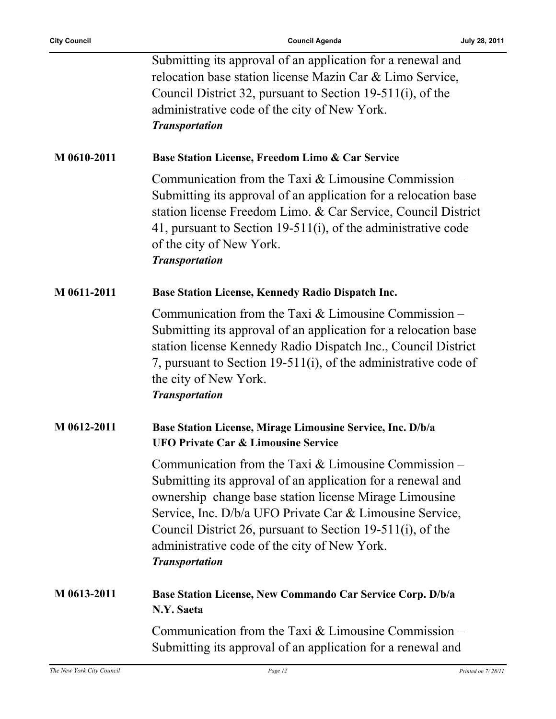|             | Submitting its approval of an application for a renewal and<br>relocation base station license Mazin Car & Limo Service,<br>Council District 32, pursuant to Section 19-511(i), of the<br>administrative code of the city of New York.<br><b>Transportation</b>                                                                                                                    |
|-------------|------------------------------------------------------------------------------------------------------------------------------------------------------------------------------------------------------------------------------------------------------------------------------------------------------------------------------------------------------------------------------------|
| M 0610-2011 | Base Station License, Freedom Limo & Car Service                                                                                                                                                                                                                                                                                                                                   |
|             | Communication from the Taxi $&$ Limousine Commission –<br>Submitting its approval of an application for a relocation base<br>station license Freedom Limo. & Car Service, Council District<br>41, pursuant to Section 19-511(i), of the administrative code<br>of the city of New York.<br><b>Transportation</b>                                                                   |
| M 0611-2011 | <b>Base Station License, Kennedy Radio Dispatch Inc.</b>                                                                                                                                                                                                                                                                                                                           |
|             | Communication from the Taxi $&$ Limousine Commission –<br>Submitting its approval of an application for a relocation base<br>station license Kennedy Radio Dispatch Inc., Council District<br>7, pursuant to Section 19-511(i), of the administrative code of<br>the city of New York.<br><b>Transportation</b>                                                                    |
| M 0612-2011 | Base Station License, Mirage Limousine Service, Inc. D/b/a<br><b>UFO Private Car &amp; Limousine Service</b>                                                                                                                                                                                                                                                                       |
|             | Communication from the Taxi $&$ Limousine Commission –<br>Submitting its approval of an application for a renewal and<br>ownership change base station license Mirage Limousine<br>Service, Inc. D/b/a UFO Private Car & Limousine Service,<br>Council District 26, pursuant to Section 19-511(i), of the<br>administrative code of the city of New York.<br><b>Transportation</b> |
| M 0613-2011 | Base Station License, New Commando Car Service Corp. D/b/a<br>N.Y. Saeta                                                                                                                                                                                                                                                                                                           |
|             | Communication from the Taxi $&$ Limousine Commission –<br>Submitting its approval of an application for a renewal and                                                                                                                                                                                                                                                              |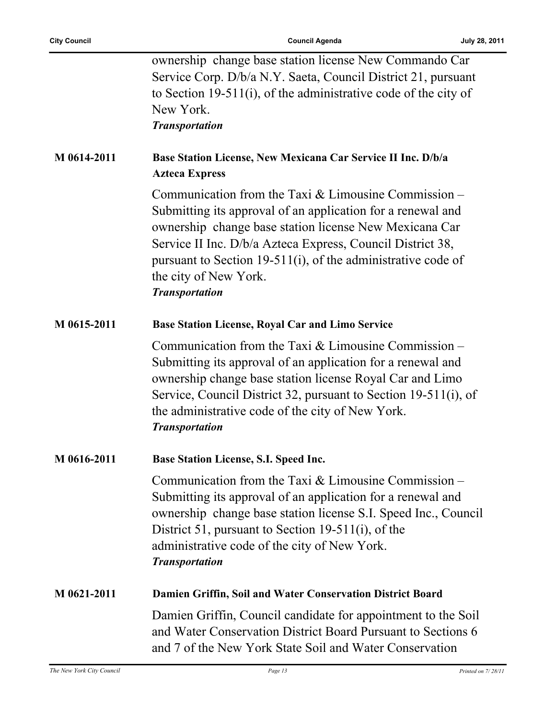|             | ownership change base station license New Commando Car<br>Service Corp. D/b/a N.Y. Saeta, Council District 21, pursuant<br>to Section 19-511(i), of the administrative code of the city of<br>New York.<br><b>Transportation</b>                                                                                                                                |
|-------------|-----------------------------------------------------------------------------------------------------------------------------------------------------------------------------------------------------------------------------------------------------------------------------------------------------------------------------------------------------------------|
| M 0614-2011 | Base Station License, New Mexicana Car Service II Inc. D/b/a<br><b>Azteca Express</b>                                                                                                                                                                                                                                                                           |
|             | Communication from the Taxi $&$ Limousine Commission –<br>Submitting its approval of an application for a renewal and<br>ownership change base station license New Mexicana Car<br>Service II Inc. D/b/a Azteca Express, Council District 38,<br>pursuant to Section 19-511(i), of the administrative code of<br>the city of New York.<br><b>Transportation</b> |
| M 0615-2011 | Base Station License, Royal Car and Limo Service                                                                                                                                                                                                                                                                                                                |
|             | Communication from the Taxi $&$ Limousine Commission –<br>Submitting its approval of an application for a renewal and<br>ownership change base station license Royal Car and Limo<br>Service, Council District 32, pursuant to Section 19-511(i), of<br>the administrative code of the city of New York.<br><b>Transportation</b>                               |
| M 0616-2011 | <b>Base Station License, S.I. Speed Inc.</b>                                                                                                                                                                                                                                                                                                                    |
|             | Communication from the Taxi $&$ Limousine Commission –<br>Submitting its approval of an application for a renewal and<br>ownership change base station license S.I. Speed Inc., Council<br>District 51, pursuant to Section 19-511(i), of the<br>administrative code of the city of New York.<br><b>Transportation</b>                                          |
| M 0621-2011 | Damien Griffin, Soil and Water Conservation District Board                                                                                                                                                                                                                                                                                                      |
|             | Damien Griffin, Council candidate for appointment to the Soil<br>and Water Conservation District Board Pursuant to Sections 6<br>and 7 of the New York State Soil and Water Conservation                                                                                                                                                                        |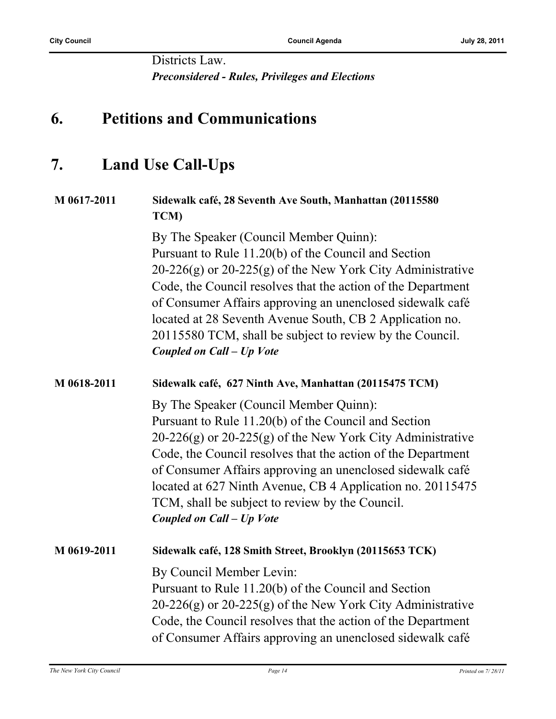Districts Law. *Preconsidered - Rules, Privileges and Elections*

## **6. Petitions and Communications**

## **7. Land Use Call-Ups**

#### **M 0617-2011 Sidewalk café, 28 Seventh Ave South, Manhattan (20115580 TCM)**

By The Speaker (Council Member Quinn): Pursuant to Rule 11.20(b) of the Council and Section 20-226(g) or 20-225(g) of the New York City Administrative Code, the Council resolves that the action of the Department of Consumer Affairs approving an unenclosed sidewalk café located at 28 Seventh Avenue South, CB 2 Application no. 20115580 TCM, shall be subject to review by the Council. *Coupled on Call – Up Vote*

#### **M 0618-2011 Sidewalk café, 627 Ninth Ave, Manhattan (20115475 TCM)**

By The Speaker (Council Member Quinn): Pursuant to Rule 11.20(b) of the Council and Section 20-226(g) or 20-225(g) of the New York City Administrative Code, the Council resolves that the action of the Department of Consumer Affairs approving an unenclosed sidewalk café located at 627 Ninth Avenue, CB 4 Application no. 20115475 TCM, shall be subject to review by the Council. *Coupled on Call – Up Vote*

#### **M 0619-2011 Sidewalk café, 128 Smith Street, Brooklyn (20115653 TCK)**

By Council Member Levin:

Pursuant to Rule 11.20(b) of the Council and Section 20-226(g) or 20-225(g) of the New York City Administrative Code, the Council resolves that the action of the Department of Consumer Affairs approving an unenclosed sidewalk café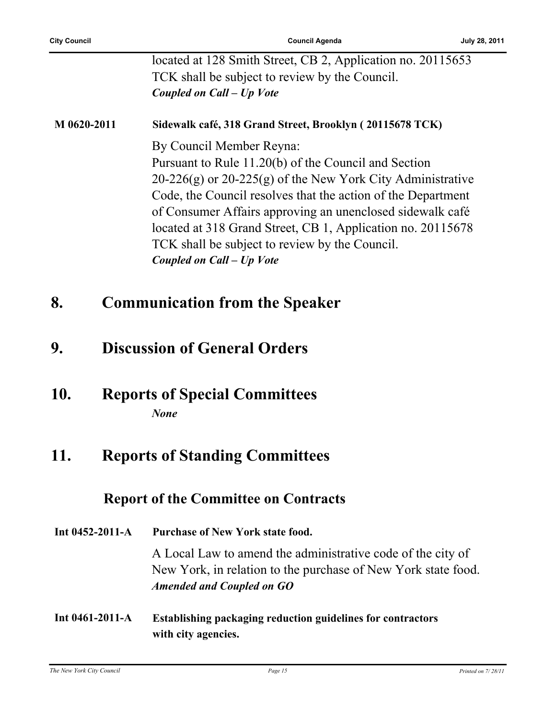|             | located at 128 Smith Street, CB 2, Application no. 20115653<br>TCK shall be subject to review by the Council.<br>Coupled on Call - Up Vote                                                                                                                                                                                                                                                                                    |
|-------------|-------------------------------------------------------------------------------------------------------------------------------------------------------------------------------------------------------------------------------------------------------------------------------------------------------------------------------------------------------------------------------------------------------------------------------|
| M 0620-2011 | Sidewalk café, 318 Grand Street, Brooklyn (20115678 TCK)                                                                                                                                                                                                                                                                                                                                                                      |
|             | By Council Member Reyna:<br>Pursuant to Rule 11.20(b) of the Council and Section<br>$20-226(g)$ or $20-225(g)$ of the New York City Administrative<br>Code, the Council resolves that the action of the Department<br>of Consumer Affairs approving an unenclosed sidewalk café<br>located at 318 Grand Street, CB 1, Application no. 20115678<br>TCK shall be subject to review by the Council.<br>Coupled on Call - Up Vote |

#### **8. Communication from the Speaker**

## **9. Discussion of General Orders**

#### **10. Reports of Special Committees** *None*

## **11. Reports of Standing Committees**

**with city agencies.**

#### **Report of the Committee on Contracts**

**Int 0452-2011-A Purchase of New York state food.** A Local Law to amend the administrative code of the city of New York, in relation to the purchase of New York state food. *Amended and Coupled on GO* **Int 0461-2011-A Establishing packaging reduction guidelines for contractors**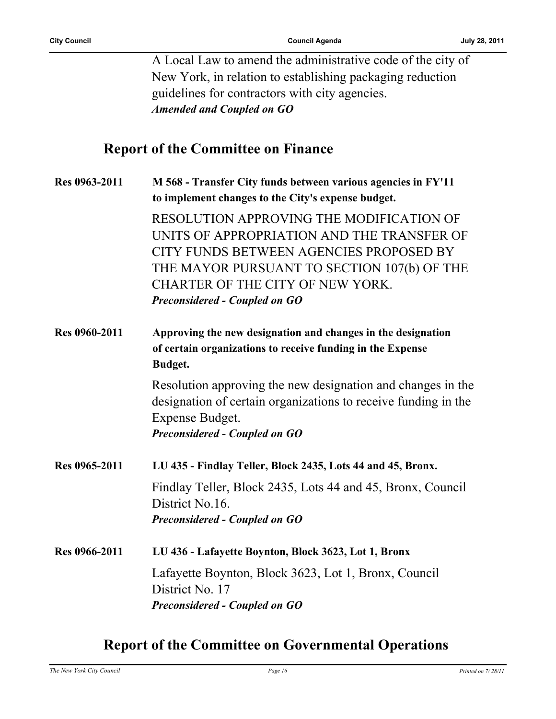A Local Law to amend the administrative code of the city of New York, in relation to establishing packaging reduction guidelines for contractors with city agencies. *Amended and Coupled on GO*

#### **Report of the Committee on Finance**

| Res 0963-2011        | M 568 - Transfer City funds between various agencies in FY'11<br>to implement changes to the City's expense budget.                                                                                                                                          |
|----------------------|--------------------------------------------------------------------------------------------------------------------------------------------------------------------------------------------------------------------------------------------------------------|
|                      | RESOLUTION APPROVING THE MODIFICATION OF<br>UNITS OF APPROPRIATION AND THE TRANSFER OF<br>CITY FUNDS BETWEEN AGENCIES PROPOSED BY<br>THE MAYOR PURSUANT TO SECTION 107(b) OF THE<br>CHARTER OF THE CITY OF NEW YORK.<br><b>Preconsidered - Coupled on GO</b> |
| <b>Res 0960-2011</b> | Approving the new designation and changes in the designation<br>of certain organizations to receive funding in the Expense<br>Budget.                                                                                                                        |
|                      | Resolution approving the new designation and changes in the<br>designation of certain organizations to receive funding in the<br>Expense Budget.<br><b>Preconsidered - Coupled on GO</b>                                                                     |
| Res 0965-2011        | LU 435 - Findlay Teller, Block 2435, Lots 44 and 45, Bronx.                                                                                                                                                                                                  |
|                      | Findlay Teller, Block 2435, Lots 44 and 45, Bronx, Council<br>District No.16.<br><b>Preconsidered - Coupled on GO</b>                                                                                                                                        |
| Res 0966-2011        | LU 436 - Lafayette Boynton, Block 3623, Lot 1, Bronx                                                                                                                                                                                                         |
|                      | Lafayette Boynton, Block 3623, Lot 1, Bronx, Council<br>District No. 17<br><b>Preconsidered - Coupled on GO</b>                                                                                                                                              |

#### **Report of the Committee on Governmental Operations**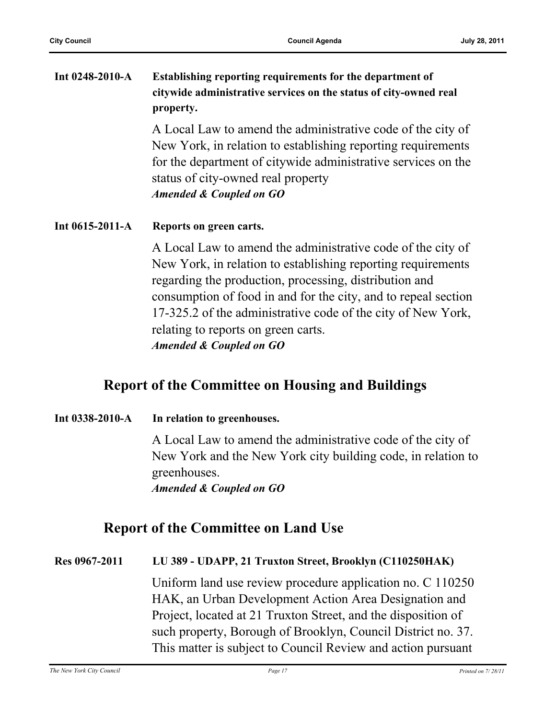| Int $0248 - 2010 - A$ | Establishing reporting requirements for the department of         |
|-----------------------|-------------------------------------------------------------------|
|                       | citywide administrative services on the status of city-owned real |
|                       | property.                                                         |
|                       | A Local Law to amend the administrative code of the city of       |
|                       |                                                                   |

New York, in relation to establishing reporting requirements for the department of citywide administrative services on the status of city-owned real property *Amended & Coupled on GO*

**Int 0615-2011-A Reports on green carts.**

A Local Law to amend the administrative code of the city of New York, in relation to establishing reporting requirements regarding the production, processing, distribution and consumption of food in and for the city, and to repeal section 17-325.2 of the administrative code of the city of New York, relating to reports on green carts. *Amended & Coupled on GO*

#### **Report of the Committee on Housing and Buildings**

**Int 0338-2010-A In relation to greenhouses.**

A Local Law to amend the administrative code of the city of New York and the New York city building code, in relation to greenhouses.

*Amended & Coupled on GO*

#### **Report of the Committee on Land Use**

#### **Res 0967-2011 LU 389 - UDAPP, 21 Truxton Street, Brooklyn (C110250HAK)**

Uniform land use review procedure application no. C 110250 HAK, an Urban Development Action Area Designation and Project, located at 21 Truxton Street, and the disposition of such property, Borough of Brooklyn, Council District no. 37. This matter is subject to Council Review and action pursuant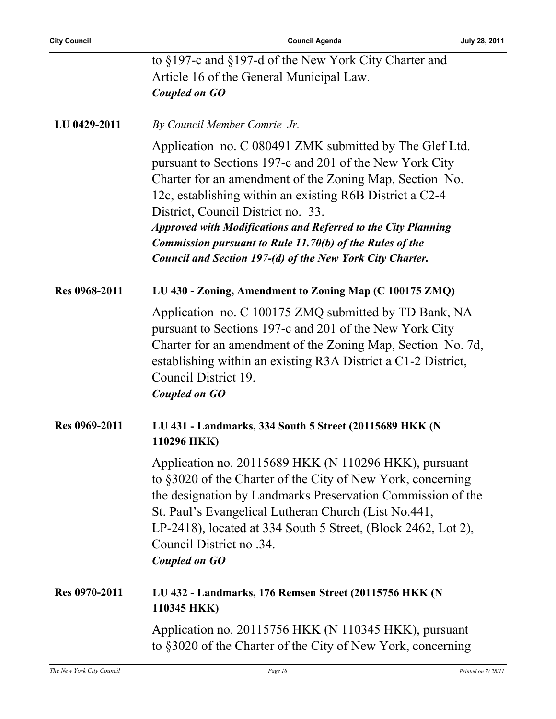|               | to §197-c and §197-d of the New York City Charter and                                                                                                                                                                                                                                                                                                                                                                                                                                   |
|---------------|-----------------------------------------------------------------------------------------------------------------------------------------------------------------------------------------------------------------------------------------------------------------------------------------------------------------------------------------------------------------------------------------------------------------------------------------------------------------------------------------|
|               | Article 16 of the General Municipal Law.                                                                                                                                                                                                                                                                                                                                                                                                                                                |
|               | Coupled on GO                                                                                                                                                                                                                                                                                                                                                                                                                                                                           |
|               |                                                                                                                                                                                                                                                                                                                                                                                                                                                                                         |
| LU 0429-2011  | By Council Member Comrie Jr.                                                                                                                                                                                                                                                                                                                                                                                                                                                            |
|               | Application no. C 080491 ZMK submitted by The Glef Ltd.<br>pursuant to Sections 197-c and 201 of the New York City<br>Charter for an amendment of the Zoning Map, Section No.<br>12c, establishing within an existing R6B District a C2-4<br>District, Council District no. 33.<br><b>Approved with Modifications and Referred to the City Planning</b><br><b>Commission pursuant to Rule 11.70(b) of the Rules of the</b><br>Council and Section 197-(d) of the New York City Charter. |
| Res 0968-2011 | LU 430 - Zoning, Amendment to Zoning Map (C 100175 ZMQ)                                                                                                                                                                                                                                                                                                                                                                                                                                 |
|               | Application no. C 100175 ZMQ submitted by TD Bank, NA<br>pursuant to Sections 197-c and 201 of the New York City<br>Charter for an amendment of the Zoning Map, Section No. 7d,<br>establishing within an existing R3A District a C1-2 District,<br>Council District 19.<br>Coupled on GO                                                                                                                                                                                               |
| Res 0969-2011 | LU 431 - Landmarks, 334 South 5 Street (20115689 HKK (N<br>110296 HKK)                                                                                                                                                                                                                                                                                                                                                                                                                  |
|               | Application no. 20115689 HKK (N 110296 HKK), pursuant<br>to §3020 of the Charter of the City of New York, concerning<br>the designation by Landmarks Preservation Commission of the<br>St. Paul's Evangelical Lutheran Church (List No.441,<br>LP-2418), located at 334 South 5 Street, (Block 2462, Lot 2),<br>Council District no .34.<br><b>Coupled on GO</b>                                                                                                                        |
| Res 0970-2011 | LU 432 - Landmarks, 176 Remsen Street (20115756 HKK (N<br>110345 HKK)                                                                                                                                                                                                                                                                                                                                                                                                                   |
|               | Application no. 20115756 HKK (N 110345 HKK), pursuant<br>to §3020 of the Charter of the City of New York, concerning                                                                                                                                                                                                                                                                                                                                                                    |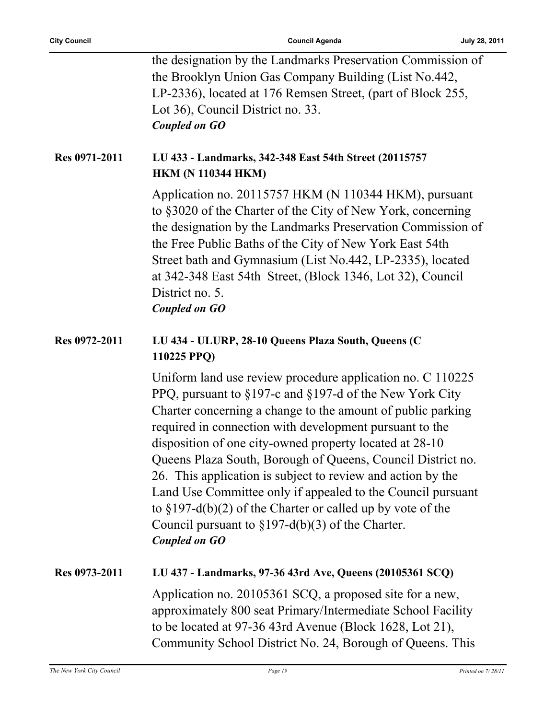|               | the designation by the Landmarks Preservation Commission of<br>the Brooklyn Union Gas Company Building (List No.442,<br>LP-2336), located at 176 Remsen Street, (part of Block 255,<br>Lot 36), Council District no. 33.<br><b>Coupled on GO</b>                                                                                                                                                                                                                                                                                                                                                                                                          |
|---------------|-----------------------------------------------------------------------------------------------------------------------------------------------------------------------------------------------------------------------------------------------------------------------------------------------------------------------------------------------------------------------------------------------------------------------------------------------------------------------------------------------------------------------------------------------------------------------------------------------------------------------------------------------------------|
| Res 0971-2011 | LU 433 - Landmarks, 342-348 East 54th Street (20115757<br><b>HKM (N 110344 HKM)</b>                                                                                                                                                                                                                                                                                                                                                                                                                                                                                                                                                                       |
|               | Application no. 20115757 HKM (N 110344 HKM), pursuant<br>to §3020 of the Charter of the City of New York, concerning<br>the designation by the Landmarks Preservation Commission of<br>the Free Public Baths of the City of New York East 54th<br>Street bath and Gymnasium (List No.442, LP-2335), located<br>at 342-348 East 54th Street, (Block 1346, Lot 32), Council<br>District no. 5.<br><b>Coupled on GO</b>                                                                                                                                                                                                                                      |
| Res 0972-2011 | LU 434 - ULURP, 28-10 Queens Plaza South, Queens (C<br>110225 PPQ)                                                                                                                                                                                                                                                                                                                                                                                                                                                                                                                                                                                        |
|               | Uniform land use review procedure application no. C 110225<br>PPQ, pursuant to §197-c and §197-d of the New York City<br>Charter concerning a change to the amount of public parking<br>required in connection with development pursuant to the<br>disposition of one city-owned property located at 28-10<br>Queens Plaza South, Borough of Queens, Council District no.<br>26. This application is subject to review and action by the<br>Land Use Committee only if appealed to the Council pursuant<br>to $\S 197-d(b)(2)$ of the Charter or called up by vote of the<br>Council pursuant to $\S 197-d(b)(3)$ of the Charter.<br><b>Coupled on GO</b> |
| Res 0973-2011 | LU 437 - Landmarks, 97-36 43rd Ave, Queens (20105361 SCQ)                                                                                                                                                                                                                                                                                                                                                                                                                                                                                                                                                                                                 |
|               | Application no. 20105361 SCQ, a proposed site for a new,<br>approximately 800 seat Primary/Intermediate School Facility<br>to be located at $97-36$ 43rd Avenue (Block 1628, Lot 21),<br>Community School District No. 24, Borough of Queens. This                                                                                                                                                                                                                                                                                                                                                                                                        |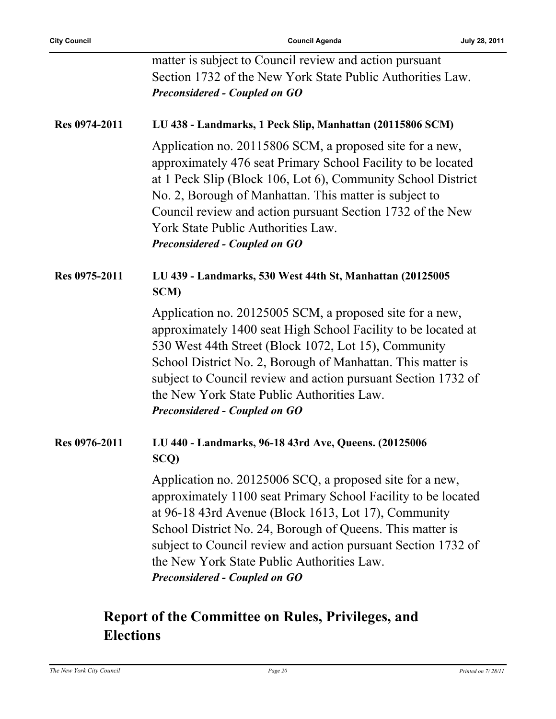|               | matter is subject to Council review and action pursuant<br>Section 1732 of the New York State Public Authorities Law.<br><b>Preconsidered - Coupled on GO</b>                                                                                                                                                                                                                                           |
|---------------|---------------------------------------------------------------------------------------------------------------------------------------------------------------------------------------------------------------------------------------------------------------------------------------------------------------------------------------------------------------------------------------------------------|
| Res 0974-2011 | LU 438 - Landmarks, 1 Peck Slip, Manhattan (20115806 SCM)                                                                                                                                                                                                                                                                                                                                               |
|               | Application no. 20115806 SCM, a proposed site for a new,<br>approximately 476 seat Primary School Facility to be located<br>at 1 Peck Slip (Block 106, Lot 6), Community School District<br>No. 2, Borough of Manhattan. This matter is subject to<br>Council review and action pursuant Section 1732 of the New<br>York State Public Authorities Law.<br><b>Preconsidered - Coupled on GO</b>          |
| Res 0975-2011 | LU 439 - Landmarks, 530 West 44th St, Manhattan (20125005<br>SCM)                                                                                                                                                                                                                                                                                                                                       |
|               | Application no. 20125005 SCM, a proposed site for a new,<br>approximately 1400 seat High School Facility to be located at<br>530 West 44th Street (Block 1072, Lot 15), Community<br>School District No. 2, Borough of Manhattan. This matter is<br>subject to Council review and action pursuant Section 1732 of<br>the New York State Public Authorities Law.<br><b>Preconsidered - Coupled on GO</b> |
| Res 0976-2011 | LU 440 - Landmarks, 96-18 43rd Ave, Queens. (20125006<br>SCQ)                                                                                                                                                                                                                                                                                                                                           |
|               | Application no. 20125006 SCQ, a proposed site for a new,<br>approximately 1100 seat Primary School Facility to be located<br>at 96-18 43rd Avenue (Block 1613, Lot 17), Community<br>School District No. 24, Borough of Queens. This matter is<br>subject to Council review and action pursuant Section 1732 of<br>the New York State Public Authorities Law.<br>Preconsidered - Coupled on GO          |

## **Report of the Committee on Rules, Privileges, and Elections**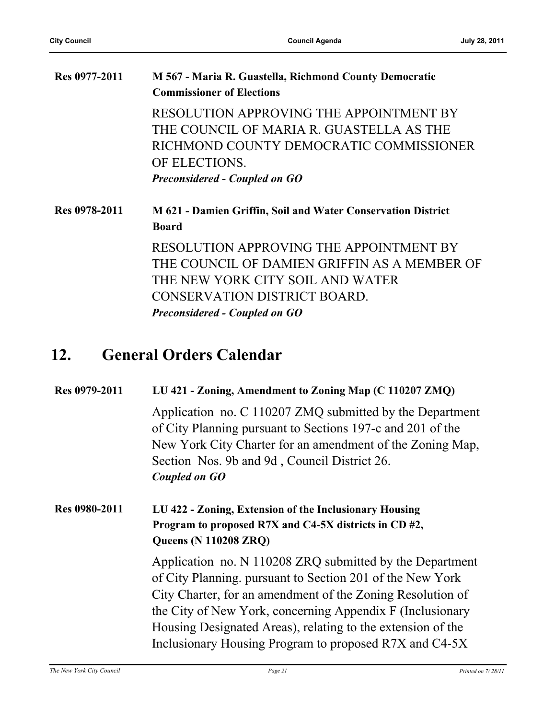| Res 0977-2011 | M 567 - Maria R. Guastella, Richmond County Democratic<br><b>Commissioner of Elections</b> |
|---------------|--------------------------------------------------------------------------------------------|
|               | RESOLUTION APPROVING THE APPOINTMENT BY                                                    |
|               | THE COUNCIL OF MARIA R. GUASTELLA AS THE                                                   |
|               | RICHMOND COUNTY DEMOCRATIC COMMISSIONER                                                    |
|               | OF ELECTIONS.                                                                              |
|               | <b>Preconsidered - Coupled on GO</b>                                                       |
| Res 0978-2011 | <b>M</b> 621 - Damien Griffin, Soil and Water Conservation District                        |
|               | <b>Board</b>                                                                               |
|               | RESOLUTION APPROVING THE APPOINTMENT BY                                                    |
|               | THE COUNCIL OF DAMIEN GRIFFIN AS A MEMBER OF                                               |
|               | THE NEW YORK CITY SOIL AND WATER                                                           |
|               | CONSERVATION DISTRICT BOARD.                                                               |

## **12. General Orders Calendar**

| Res 0979-2011        | LU 421 - Zoning, Amendment to Zoning Map (C 110207 ZMQ)                                                                                                                                                                                                                                                                                                                   |
|----------------------|---------------------------------------------------------------------------------------------------------------------------------------------------------------------------------------------------------------------------------------------------------------------------------------------------------------------------------------------------------------------------|
|                      | Application no. C 110207 ZMQ submitted by the Department<br>of City Planning pursuant to Sections 197-c and 201 of the<br>New York City Charter for an amendment of the Zoning Map,<br>Section Nos. 9b and 9d, Council District 26.<br>Coupled on GO                                                                                                                      |
| <b>Res 0980-2011</b> | LU 422 - Zoning, Extension of the Inclusionary Housing<br>Program to proposed R7X and C4-5X districts in CD #2,<br><b>Queens (N 110208 ZRQ)</b>                                                                                                                                                                                                                           |
|                      | Application no. N 110208 ZRQ submitted by the Department<br>of City Planning. pursuant to Section 201 of the New York<br>City Charter, for an amendment of the Zoning Resolution of<br>the City of New York, concerning Appendix F (Inclusionary<br>Housing Designated Areas), relating to the extension of the<br>Inclusionary Housing Program to proposed R7X and C4-5X |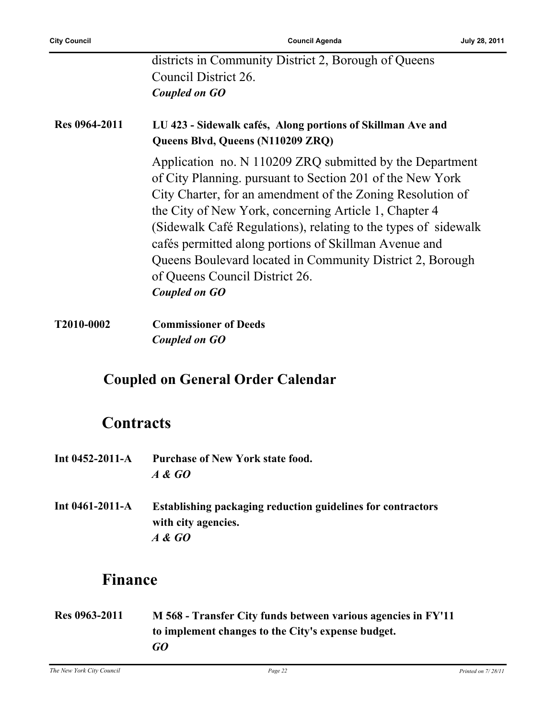|               | districts in Community District 2, Borough of Queens<br>Council District 26.<br><b>Coupled on GO</b>                                                                                                                                                                                                                                                                                                                                                                                    |
|---------------|-----------------------------------------------------------------------------------------------------------------------------------------------------------------------------------------------------------------------------------------------------------------------------------------------------------------------------------------------------------------------------------------------------------------------------------------------------------------------------------------|
| Res 0964-2011 | LU 423 - Sidewalk cafés, Along portions of Skillman Ave and<br>Queens Blvd, Queens (N110209 ZRQ)                                                                                                                                                                                                                                                                                                                                                                                        |
|               | Application no. N 110209 ZRQ submitted by the Department<br>of City Planning. pursuant to Section 201 of the New York<br>City Charter, for an amendment of the Zoning Resolution of<br>the City of New York, concerning Article 1, Chapter 4<br>(Sidewalk Café Regulations), relating to the types of sidewalk<br>cafés permitted along portions of Skillman Avenue and<br>Queens Boulevard located in Community District 2, Borough<br>of Queens Council District 26.<br>Coupled on GO |
| T2010-0002    | <b>Commissioner of Deeds</b>                                                                                                                                                                                                                                                                                                                                                                                                                                                            |
|               | Coupled on GO                                                                                                                                                                                                                                                                                                                                                                                                                                                                           |

#### **Coupled on General Order Calendar**

#### **Contracts**

- **Int 0452-2011-A Purchase of New York state food.** *A & GO*
- **Int 0461-2011-A Establishing packaging reduction guidelines for contractors with city agencies.** *A & GO*

## **Finance**

**Res 0963-2011 M 568 - Transfer City funds between various agencies in FY'11 to implement changes to the City's expense budget.** *GO*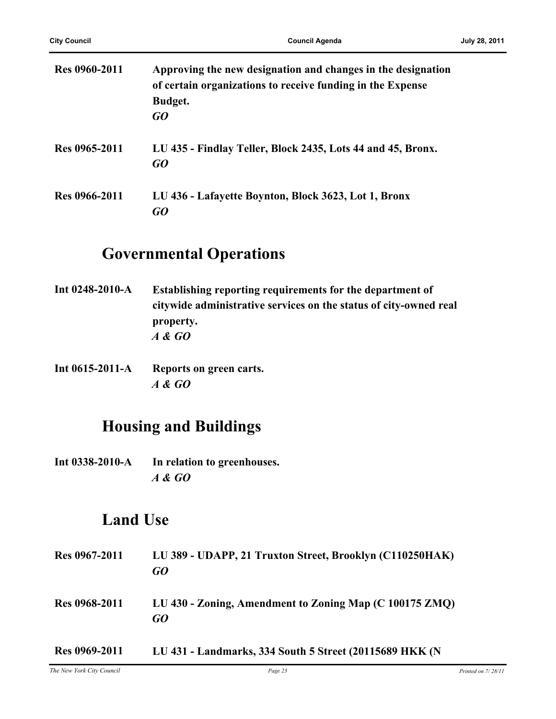| Res 0960-2011 | Approving the new designation and changes in the designation<br>of certain organizations to receive funding in the Expense<br>Budget.<br>GO |
|---------------|---------------------------------------------------------------------------------------------------------------------------------------------|
| Res 0965-2011 | LU 435 - Findlay Teller, Block 2435, Lots 44 and 45, Bronx.<br>GQ                                                                           |
| Res 0966-2011 | LU 436 - Lafayette Boynton, Block 3623, Lot 1, Bronx<br>GO                                                                                  |

## **Governmental Operations**

- **Int 0248-2010-A Establishing reporting requirements for the department of citywide administrative services on the status of city-owned real property.** *A & GO*
- **Int 0615-2011-A Reports on green carts.** *A & GO*

## **Housing and Buildings**

**Int 0338-2010-A In relation to greenhouses.** *A & GO*

## **Land Use**

| Res 0967-2011 | LU 389 - UDAPP, 21 Truxton Street, Brooklyn (C110250HAK)<br>GO |
|---------------|----------------------------------------------------------------|
| Res 0968-2011 | LU 430 - Zoning, Amendment to Zoning Map (C 100175 ZMQ)<br>GO  |
| Res 0969-2011 | LU 431 - Landmarks, 334 South 5 Street (20115689 HKK (N        |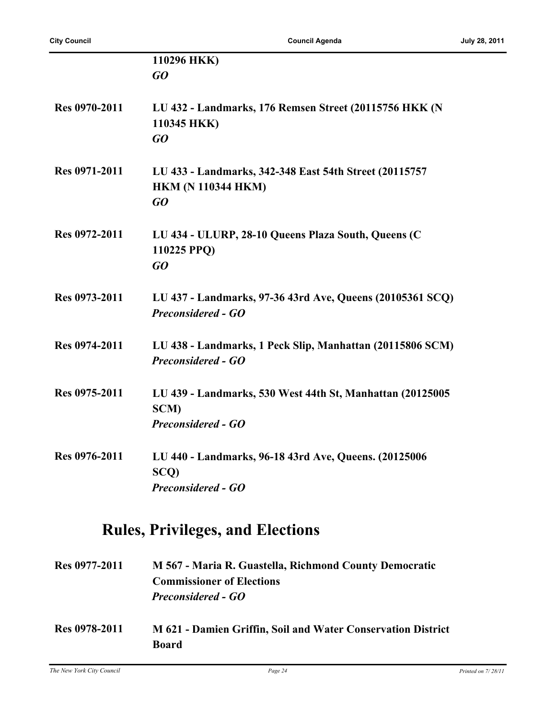**City Council Council Agenda July 28, 2011**

|               | 110296 HKK)                                                                                     |
|---------------|-------------------------------------------------------------------------------------------------|
|               | GQ                                                                                              |
| Res 0970-2011 | LU 432 - Landmarks, 176 Remsen Street (20115756 HKK (N<br>110345 HKK)<br>GQ                     |
| Res 0971-2011 | LU 433 - Landmarks, 342-348 East 54th Street (20115757<br><b>HKM (N 110344 HKM)</b><br>GO       |
| Res 0972-2011 | LU 434 - ULURP, 28-10 Queens Plaza South, Queens (C<br>110225 PPQ)<br>GQ                        |
| Res 0973-2011 | LU 437 - Landmarks, 97-36 43rd Ave, Queens (20105361 SCQ)<br><b>Preconsidered - GO</b>          |
| Res 0974-2011 | LU 438 - Landmarks, 1 Peck Slip, Manhattan (20115806 SCM)<br><b>Preconsidered - GO</b>          |
| Res 0975-2011 | LU 439 - Landmarks, 530 West 44th St, Manhattan (20125005)<br>SCM)<br><b>Preconsidered - GO</b> |
| Res 0976-2011 | LU 440 - Landmarks, 96-18 43rd Ave, Queens. (20125006<br>SCQ)<br><b>Preconsidered - GO</b>      |

# **Rules, Privileges, and Elections**

**Board**

| <b>Res 0977-2011</b> | M 567 - Maria R. Guastella, Richmond County Democratic       |
|----------------------|--------------------------------------------------------------|
|                      | <b>Commissioner of Elections</b>                             |
|                      | <b>Preconsidered - GO</b>                                    |
| Res 0978-2011        | M 621 - Damien Griffin, Soil and Water Conservation District |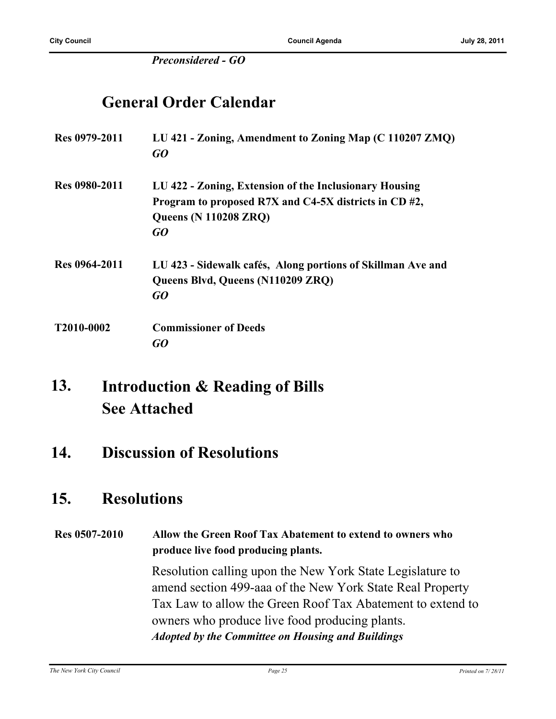*Preconsidered - GO*

## **General Order Calendar**

| Res 0979-2011        | LU 421 - Zoning, Amendment to Zoning Map (C 110207 ZMQ)<br>GO                                                                                         |
|----------------------|-------------------------------------------------------------------------------------------------------------------------------------------------------|
| <b>Res 0980-2011</b> | LU 422 - Zoning, Extension of the Inclusionary Housing<br>Program to proposed R7X and C4-5X districts in CD #2,<br><b>Queens (N 110208 ZRQ)</b><br>GO |
| Res 0964-2011        | LU 423 - Sidewalk cafés, Along portions of Skillman Ave and<br>Queens Blvd, Queens (N110209 ZRQ)<br>GO                                                |
| T2010-0002           | <b>Commissioner of Deeds</b><br>GO                                                                                                                    |

#### **Introduction & Reading of Bills See Attached 13.**

#### **14. Discussion of Resolutions**

#### **15. Resolutions**

#### **Res 0507-2010 Allow the Green Roof Tax Abatement to extend to owners who produce live food producing plants.**

Resolution calling upon the New York State Legislature to amend section 499-aaa of the New York State Real Property Tax Law to allow the Green Roof Tax Abatement to extend to owners who produce live food producing plants. *Adopted by the Committee on Housing and Buildings*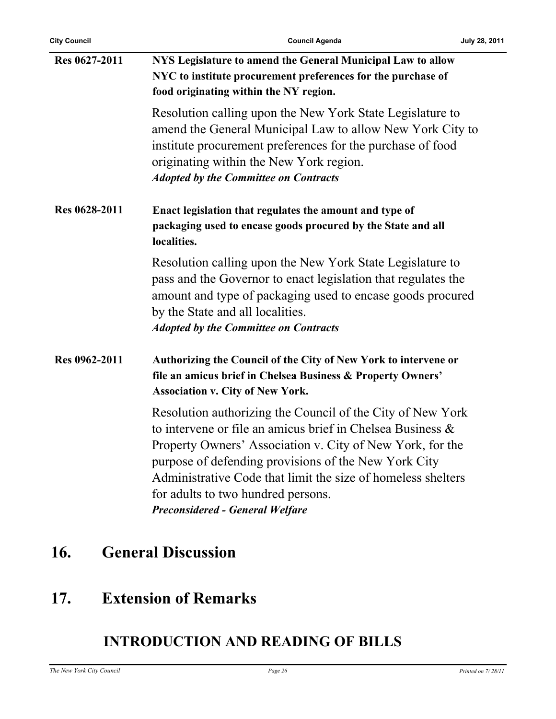| <b>City Council</b> | <b>Council Agenda</b>                                                                                                                                                                                                                                                                                                                                                                         | July 28, 2011 |
|---------------------|-----------------------------------------------------------------------------------------------------------------------------------------------------------------------------------------------------------------------------------------------------------------------------------------------------------------------------------------------------------------------------------------------|---------------|
| Res 0627-2011       | NYS Legislature to amend the General Municipal Law to allow<br>NYC to institute procurement preferences for the purchase of<br>food originating within the NY region.                                                                                                                                                                                                                         |               |
|                     | Resolution calling upon the New York State Legislature to<br>amend the General Municipal Law to allow New York City to<br>institute procurement preferences for the purchase of food<br>originating within the New York region.<br><b>Adopted by the Committee on Contracts</b>                                                                                                               |               |
| Res 0628-2011       | Enact legislation that regulates the amount and type of<br>packaging used to encase goods procured by the State and all<br>localities.                                                                                                                                                                                                                                                        |               |
|                     | Resolution calling upon the New York State Legislature to<br>pass and the Governor to enact legislation that regulates the<br>amount and type of packaging used to encase goods procured<br>by the State and all localities.<br><b>Adopted by the Committee on Contracts</b>                                                                                                                  |               |
| Res 0962-2011       | Authorizing the Council of the City of New York to intervene or<br>file an amicus brief in Chelsea Business & Property Owners'<br><b>Association v. City of New York.</b>                                                                                                                                                                                                                     |               |
|                     | Resolution authorizing the Council of the City of New York<br>to intervene or file an amicus brief in Chelsea Business &<br>Property Owners' Association v. City of New York, for the<br>purpose of defending provisions of the New York City<br>Administrative Code that limit the size of homeless shelters<br>for adults to two hundred persons.<br><b>Preconsidered - General Welfare</b> |               |

# **16. General Discussion**

## **17. Extension of Remarks**

## **INTRODUCTION AND READING OF BILLS**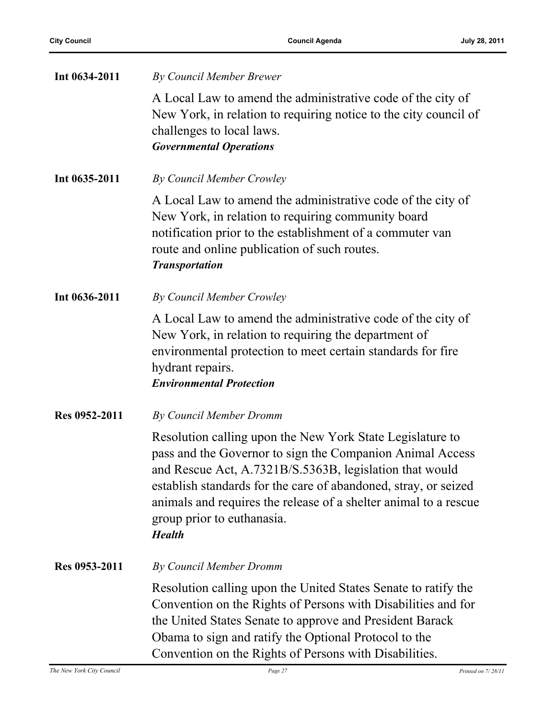| Int 0634-2011 | <b>By Council Member Brewer</b>                                                                                                                                                                                                                                                                                                                                         |
|---------------|-------------------------------------------------------------------------------------------------------------------------------------------------------------------------------------------------------------------------------------------------------------------------------------------------------------------------------------------------------------------------|
|               | A Local Law to amend the administrative code of the city of<br>New York, in relation to requiring notice to the city council of<br>challenges to local laws.<br><b>Governmental Operations</b>                                                                                                                                                                          |
|               |                                                                                                                                                                                                                                                                                                                                                                         |
| Int 0635-2011 | By Council Member Crowley<br>A Local Law to amend the administrative code of the city of<br>New York, in relation to requiring community board<br>notification prior to the establishment of a commuter van<br>route and online publication of such routes.<br><b>Transportation</b>                                                                                    |
| Int 0636-2011 | By Council Member Crowley                                                                                                                                                                                                                                                                                                                                               |
|               | A Local Law to amend the administrative code of the city of<br>New York, in relation to requiring the department of<br>environmental protection to meet certain standards for fire<br>hydrant repairs.<br><b>Environmental Protection</b>                                                                                                                               |
| Res 0952-2011 | By Council Member Dromm                                                                                                                                                                                                                                                                                                                                                 |
|               | Resolution calling upon the New York State Legislature to<br>pass and the Governor to sign the Companion Animal Access<br>and Rescue Act, A.7321B/S.5363B, legislation that would<br>establish standards for the care of abandoned, stray, or seized<br>animals and requires the release of a shelter animal to a rescue<br>group prior to euthanasia.<br><b>Health</b> |
| Res 0953-2011 | <b>By Council Member Dromm</b>                                                                                                                                                                                                                                                                                                                                          |
|               | Resolution calling upon the United States Senate to ratify the<br>Convention on the Rights of Persons with Disabilities and for<br>the United States Senate to approve and President Barack<br>Obama to sign and ratify the Optional Protocol to the<br>Convention on the Rights of Persons with Disabilities.                                                          |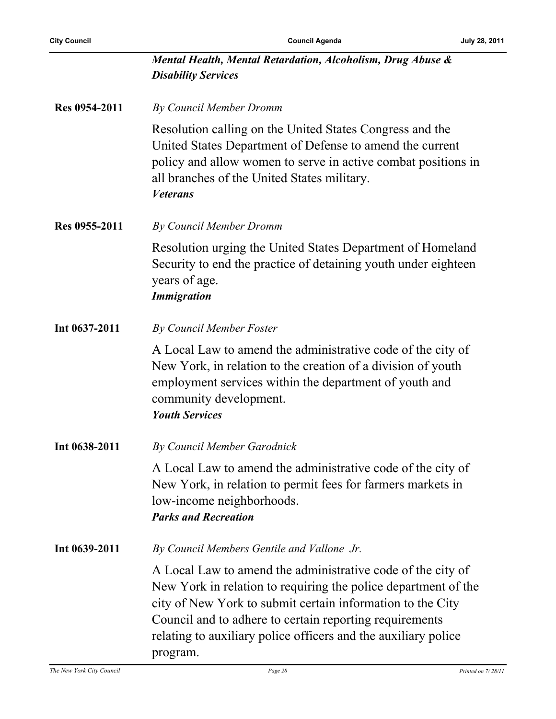$\overline{a}$ 

**City Council Council Agenda July 28, 2011**

|               | Mental Health, Mental Retardation, Alcoholism, Drug Abuse &<br><b>Disability Services</b>                                                                                                                                                                                                                                            |
|---------------|--------------------------------------------------------------------------------------------------------------------------------------------------------------------------------------------------------------------------------------------------------------------------------------------------------------------------------------|
| Res 0954-2011 | <b>By Council Member Dromm</b>                                                                                                                                                                                                                                                                                                       |
|               | Resolution calling on the United States Congress and the<br>United States Department of Defense to amend the current<br>policy and allow women to serve in active combat positions in<br>all branches of the United States military.<br><b>Veterans</b>                                                                              |
| Res 0955-2011 | By Council Member Dromm                                                                                                                                                                                                                                                                                                              |
|               | Resolution urging the United States Department of Homeland<br>Security to end the practice of detaining youth under eighteen<br>years of age.<br><b>Immigration</b>                                                                                                                                                                  |
| Int 0637-2011 | <b>By Council Member Foster</b>                                                                                                                                                                                                                                                                                                      |
|               | A Local Law to amend the administrative code of the city of<br>New York, in relation to the creation of a division of youth<br>employment services within the department of youth and<br>community development.<br><b>Youth Services</b>                                                                                             |
| Int 0638-2011 | By Council Member Garodnick                                                                                                                                                                                                                                                                                                          |
|               | A Local Law to amend the administrative code of the city of<br>New York, in relation to permit fees for farmers markets in<br>low-income neighborhoods.<br><b>Parks and Recreation</b>                                                                                                                                               |
| Int 0639-2011 | By Council Members Gentile and Vallone Jr.                                                                                                                                                                                                                                                                                           |
|               | A Local Law to amend the administrative code of the city of<br>New York in relation to requiring the police department of the<br>city of New York to submit certain information to the City<br>Council and to adhere to certain reporting requirements<br>relating to auxiliary police officers and the auxiliary police<br>program. |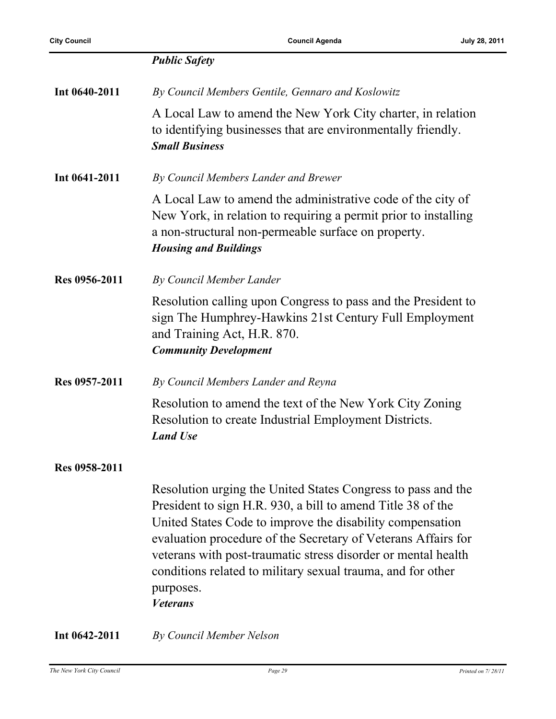|               | <b>Public Safety</b>                                                                                                                                                                                                                                                                                                                                                                                                      |
|---------------|---------------------------------------------------------------------------------------------------------------------------------------------------------------------------------------------------------------------------------------------------------------------------------------------------------------------------------------------------------------------------------------------------------------------------|
| Int 0640-2011 | By Council Members Gentile, Gennaro and Koslowitz                                                                                                                                                                                                                                                                                                                                                                         |
|               | A Local Law to amend the New York City charter, in relation<br>to identifying businesses that are environmentally friendly.<br><b>Small Business</b>                                                                                                                                                                                                                                                                      |
| Int 0641-2011 | By Council Members Lander and Brewer                                                                                                                                                                                                                                                                                                                                                                                      |
|               | A Local Law to amend the administrative code of the city of<br>New York, in relation to requiring a permit prior to installing<br>a non-structural non-permeable surface on property.<br><b>Housing and Buildings</b>                                                                                                                                                                                                     |
| Res 0956-2011 | By Council Member Lander                                                                                                                                                                                                                                                                                                                                                                                                  |
|               | Resolution calling upon Congress to pass and the President to<br>sign The Humphrey-Hawkins 21st Century Full Employment<br>and Training Act, H.R. 870.<br><b>Community Development</b>                                                                                                                                                                                                                                    |
| Res 0957-2011 | By Council Members Lander and Reyna                                                                                                                                                                                                                                                                                                                                                                                       |
|               | Resolution to amend the text of the New York City Zoning<br>Resolution to create Industrial Employment Districts.<br><b>Land Use</b>                                                                                                                                                                                                                                                                                      |
| Res 0958-2011 |                                                                                                                                                                                                                                                                                                                                                                                                                           |
|               | Resolution urging the United States Congress to pass and the<br>President to sign H.R. 930, a bill to amend Title 38 of the<br>United States Code to improve the disability compensation<br>evaluation procedure of the Secretary of Veterans Affairs for<br>veterans with post-traumatic stress disorder or mental health<br>conditions related to military sexual trauma, and for other<br>purposes.<br><b>Veterans</b> |
| Int 0642-2011 | By Council Member Nelson                                                                                                                                                                                                                                                                                                                                                                                                  |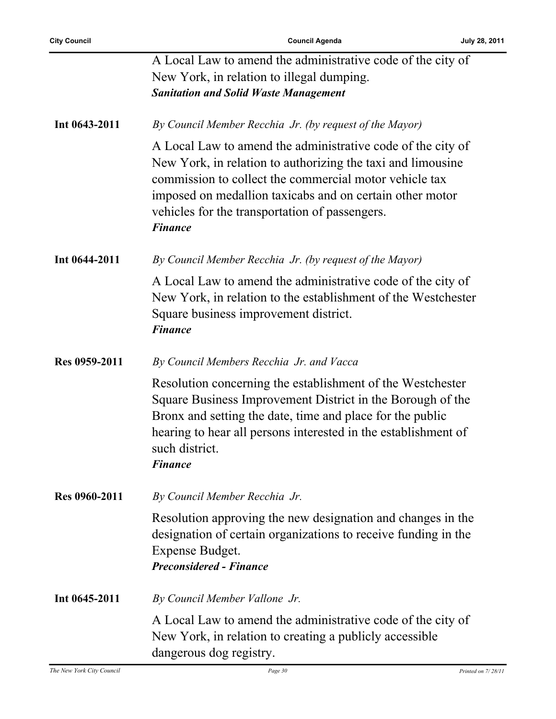|                      | A Local Law to amend the administrative code of the city of<br>New York, in relation to illegal dumping.<br><b>Sanitation and Solid Waste Management</b>                                                                                                                                                             |
|----------------------|----------------------------------------------------------------------------------------------------------------------------------------------------------------------------------------------------------------------------------------------------------------------------------------------------------------------|
| Int 0643-2011        | By Council Member Recchia Jr. (by request of the Mayor)                                                                                                                                                                                                                                                              |
|                      | A Local Law to amend the administrative code of the city of<br>New York, in relation to authorizing the taxi and limousine<br>commission to collect the commercial motor vehicle tax<br>imposed on medallion taxicabs and on certain other motor<br>vehicles for the transportation of passengers.<br><b>Finance</b> |
| Int 0644-2011        | By Council Member Recchia Jr. (by request of the Mayor)                                                                                                                                                                                                                                                              |
|                      | A Local Law to amend the administrative code of the city of<br>New York, in relation to the establishment of the Westchester<br>Square business improvement district.<br><b>Finance</b>                                                                                                                              |
| Res 0959-2011        | By Council Members Recchia Jr. and Vacca                                                                                                                                                                                                                                                                             |
|                      | Resolution concerning the establishment of the Westchester<br>Square Business Improvement District in the Borough of the<br>Bronx and setting the date, time and place for the public<br>hearing to hear all persons interested in the establishment of<br>such district.<br><b>Finance</b>                          |
| <b>Res 0960-2011</b> | By Council Member Recchia Jr.                                                                                                                                                                                                                                                                                        |
|                      | Resolution approving the new designation and changes in the<br>designation of certain organizations to receive funding in the<br>Expense Budget.<br><b>Preconsidered - Finance</b>                                                                                                                                   |
| Int 0645-2011        | By Council Member Vallone Jr.                                                                                                                                                                                                                                                                                        |
|                      | A Local Law to amend the administrative code of the city of<br>New York, in relation to creating a publicly accessible<br>dangerous dog registry.                                                                                                                                                                    |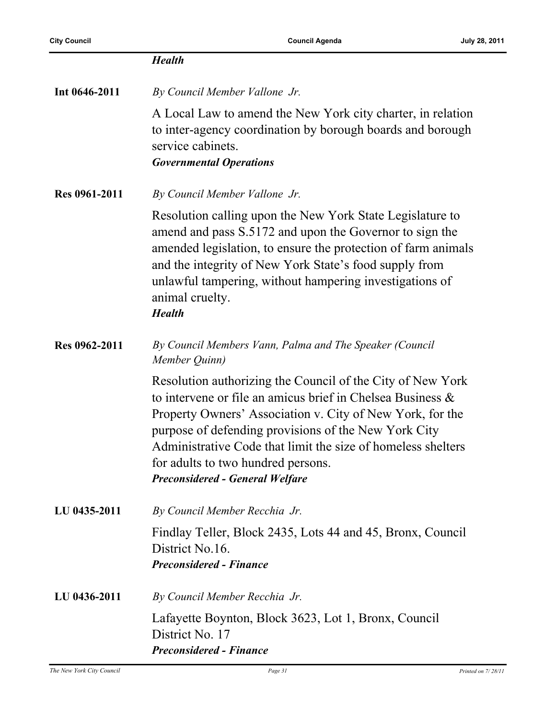|               | <b>Health</b>                                                                                                                                                                                                                                                                                                                                                                                 |
|---------------|-----------------------------------------------------------------------------------------------------------------------------------------------------------------------------------------------------------------------------------------------------------------------------------------------------------------------------------------------------------------------------------------------|
| Int 0646-2011 | By Council Member Vallone Jr.                                                                                                                                                                                                                                                                                                                                                                 |
|               | A Local Law to amend the New York city charter, in relation<br>to inter-agency coordination by borough boards and borough<br>service cabinets.<br><b>Governmental Operations</b>                                                                                                                                                                                                              |
| Res 0961-2011 | By Council Member Vallone Jr.                                                                                                                                                                                                                                                                                                                                                                 |
|               | Resolution calling upon the New York State Legislature to<br>amend and pass S.5172 and upon the Governor to sign the<br>amended legislation, to ensure the protection of farm animals<br>and the integrity of New York State's food supply from<br>unlawful tampering, without hampering investigations of<br>animal cruelty.<br><b>Health</b>                                                |
| Res 0962-2011 | By Council Members Vann, Palma and The Speaker (Council<br>Member Quinn)                                                                                                                                                                                                                                                                                                                      |
|               | Resolution authorizing the Council of the City of New York<br>to intervene or file an amicus brief in Chelsea Business &<br>Property Owners' Association v. City of New York, for the<br>purpose of defending provisions of the New York City<br>Administrative Code that limit the size of homeless shelters<br>for adults to two hundred persons.<br><b>Preconsidered - General Welfare</b> |
| LU 0435-2011  | By Council Member Recchia Jr.                                                                                                                                                                                                                                                                                                                                                                 |
|               | Findlay Teller, Block 2435, Lots 44 and 45, Bronx, Council<br>District No.16.<br><b>Preconsidered - Finance</b>                                                                                                                                                                                                                                                                               |
| LU 0436-2011  | By Council Member Recchia Jr.                                                                                                                                                                                                                                                                                                                                                                 |
|               | Lafayette Boynton, Block 3623, Lot 1, Bronx, Council<br>District No. 17<br><b>Preconsidered - Finance</b>                                                                                                                                                                                                                                                                                     |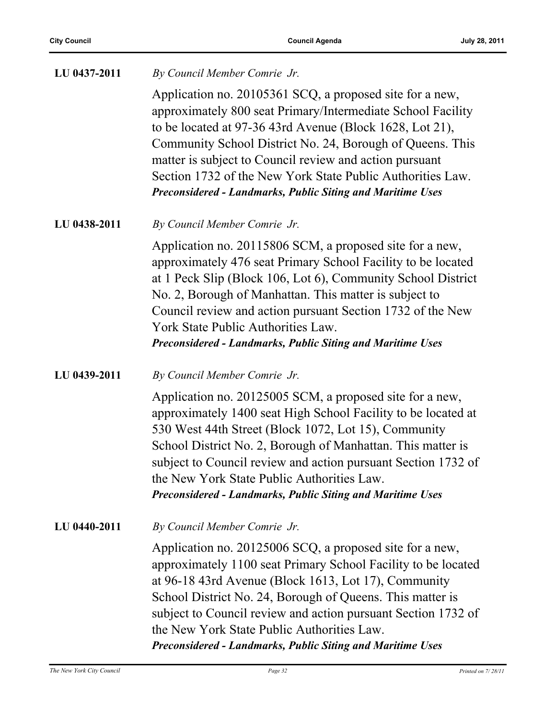| LU 0437-2011 | By Council Member Comrie Jr.                                                                                                                                                                                                                                                                                                                                                                                                                     |
|--------------|--------------------------------------------------------------------------------------------------------------------------------------------------------------------------------------------------------------------------------------------------------------------------------------------------------------------------------------------------------------------------------------------------------------------------------------------------|
|              | Application no. 20105361 SCQ, a proposed site for a new,<br>approximately 800 seat Primary/Intermediate School Facility<br>to be located at $97-36$ 43rd Avenue (Block 1628, Lot 21),<br>Community School District No. 24, Borough of Queens. This<br>matter is subject to Council review and action pursuant<br>Section 1732 of the New York State Public Authorities Law.<br><b>Preconsidered - Landmarks, Public Siting and Maritime Uses</b> |
| LU 0438-2011 | By Council Member Comrie Jr.                                                                                                                                                                                                                                                                                                                                                                                                                     |
|              | Application no. 20115806 SCM, a proposed site for a new,<br>approximately 476 seat Primary School Facility to be located<br>at 1 Peck Slip (Block 106, Lot 6), Community School District<br>No. 2, Borough of Manhattan. This matter is subject to<br>Council review and action pursuant Section 1732 of the New<br>York State Public Authorities Law.<br><b>Preconsidered - Landmarks, Public Siting and Maritime Uses</b>                      |
| LU 0439-2011 | By Council Member Comrie Jr.                                                                                                                                                                                                                                                                                                                                                                                                                     |
|              | Application no. 20125005 SCM, a proposed site for a new,<br>approximately 1400 seat High School Facility to be located at<br>530 West 44th Street (Block 1072, Lot 15), Community<br>School District No. 2, Borough of Manhattan. This matter is<br>subject to Council review and action pursuant Section 1732 of<br>the New York State Public Authorities Law.<br><b>Preconsidered - Landmarks, Public Siting and Maritime Uses</b>             |
| LU 0440-2011 | By Council Member Comrie Jr.                                                                                                                                                                                                                                                                                                                                                                                                                     |
|              | Application no. 20125006 SCQ, a proposed site for a new,<br>approximately 1100 seat Primary School Facility to be located<br>at 96-18 43rd Avenue (Block 1613, Lot 17), Community<br>School District No. 24, Borough of Queens. This matter is<br>subject to Council review and action pursuant Section 1732 of<br>the New York State Public Authorities Law.<br><b>Preconsidered - Landmarks, Public Siting and Maritime Uses</b>               |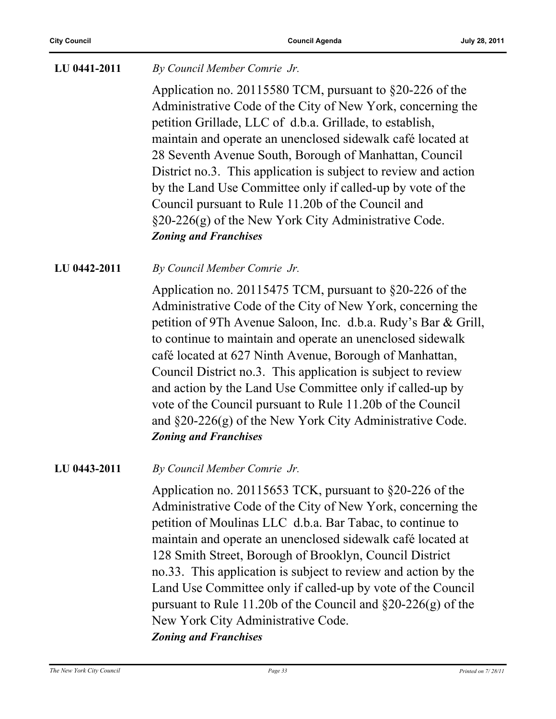#### **LU 0441-2011** *By Council Member Comrie Jr.*

Application no. 20115580 TCM, pursuant to §20-226 of the Administrative Code of the City of New York, concerning the petition Grillade, LLC of d.b.a. Grillade, to establish, maintain and operate an unenclosed sidewalk café located at 28 Seventh Avenue South, Borough of Manhattan, Council District no.3. This application is subject to review and action by the Land Use Committee only if called-up by vote of the Council pursuant to Rule 11.20b of the Council and §20-226(g) of the New York City Administrative Code. *Zoning and Franchises*

**LU 0442-2011** *By Council Member Comrie Jr.*

Application no. 20115475 TCM, pursuant to §20-226 of the Administrative Code of the City of New York, concerning the petition of 9Th Avenue Saloon, Inc. d.b.a. Rudy's Bar & Grill, to continue to maintain and operate an unenclosed sidewalk café located at 627 Ninth Avenue, Borough of Manhattan, Council District no.3. This application is subject to review and action by the Land Use Committee only if called-up by vote of the Council pursuant to Rule 11.20b of the Council and §20-226(g) of the New York City Administrative Code. *Zoning and Franchises*

**LU 0443-2011** *By Council Member Comrie Jr.*

Application no. 20115653 TCK, pursuant to §20-226 of the Administrative Code of the City of New York, concerning the petition of Moulinas LLC d.b.a. Bar Tabac, to continue to maintain and operate an unenclosed sidewalk café located at 128 Smith Street, Borough of Brooklyn, Council District no.33. This application is subject to review and action by the Land Use Committee only if called-up by vote of the Council pursuant to Rule 11.20b of the Council and §20-226(g) of the New York City Administrative Code. *Zoning and Franchises*